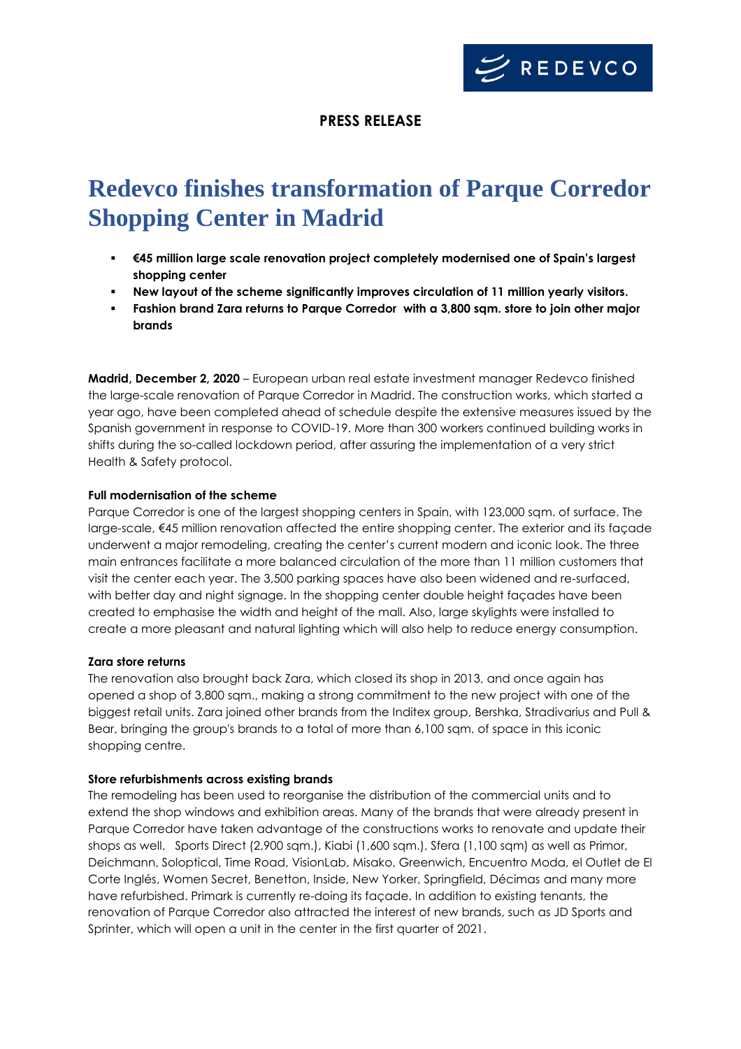

## **PRESS RELEASE**

# **Redevco finishes transformation of Parque Corredor Shopping Center in Madrid**

- **€45 million large scale renovation project completely modernised one of Spain's largest shopping center**
- **New layout of the scheme significantly improves circulation of 11 million yearly visitors.**
- **Fashion brand Zara returns to Parque Corredor with a 3,800 sqm. store to join other major brands**

**Madrid, December 2, 2020** – European urban real estate investment manager Redevco finished the large-scale renovation of Parque Corredor in Madrid. The construction works, which started a year ago, have been completed ahead of schedule despite the extensive measures issued by the Spanish government in response to COVID-19. More than 300 workers continued building works in shifts during the so-called lockdown period, after assuring the implementation of a very strict Health & Safety protocol.

#### **Full modernisation of the scheme**

Parque Corredor is one of the largest shopping centers in Spain, with 123,000 sqm. of surface. The large-scale, €45 million renovation affected the entire shopping center. The exterior and its façade underwent a major remodeling, creating the center's current modern and iconic look. The three main entrances facilitate a more balanced circulation of the more than 11 million customers that visit the center each year. The 3,500 parking spaces have also been widened and re-surfaced, with better day and night signage. In the shopping center double height façades have been created to emphasise the width and height of the mall. Also, large skylights were installed to create a more pleasant and natural lighting which will also help to reduce energy consumption.

#### **Zara store returns**

The renovation also brought back Zara, which closed its shop in 2013, and once again has opened a shop of 3,800 sqm., making a strong commitment to the new project with one of the biggest retail units. Zara joined other brands from the Inditex group, Bershka, Stradivarius and Pull & Bear, bringing the group's brands to a total of more than 6,100 sqm. of space in this iconic shopping centre.

### **Store refurbishments across existing brands**

The remodeling has been used to reorganise the distribution of the commercial units and to extend the shop windows and exhibition areas. Many of the brands that were already present in Parque Corredor have taken advantage of the constructions works to renovate and update their shops as well. Sports Direct (2,900 sqm.), Kiabi (1,600 sqm.), Sfera (1,100 sqm) as well as Primor, Deichmann, Soloptical, Time Road, VisionLab, Misako, Greenwich, Encuentro Moda, el Outlet de El Corte Inglés, Women Secret, Benetton, Inside, New Yorker, Springfield, Décimas and many more have refurbished. Primark is currently re-doing its façade. In addition to existing tenants, the renovation of Parque Corredor also attracted the interest of new brands, such as JD Sports and Sprinter, which will open a unit in the center in the first quarter of 2021.